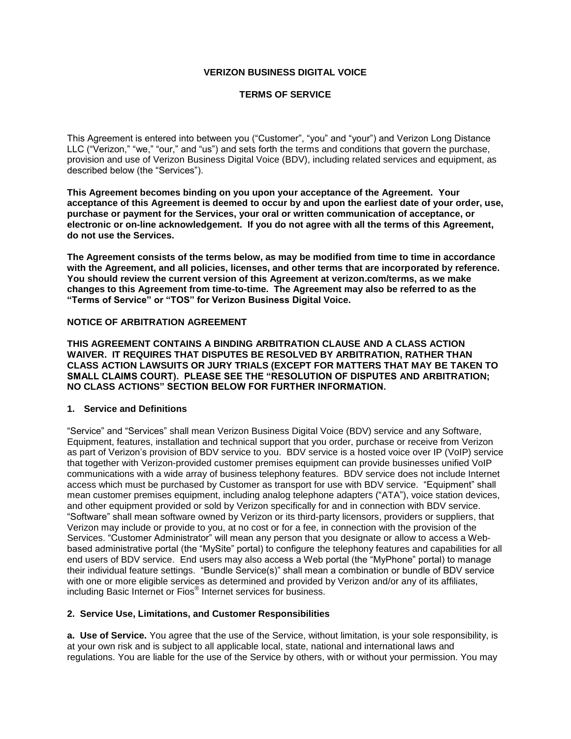## **VERIZON BUSINESS DIGITAL VOICE**

## **TERMS OF SERVICE**

This Agreement is entered into between you ("Customer", "you" and "your") and Verizon Long Distance LLC ("Verizon," "we," "our," and "us") and sets forth the terms and conditions that govern the purchase, provision and use of Verizon Business Digital Voice (BDV), including related services and equipment, as described below (the "Services").

**This Agreement becomes binding on you upon your acceptance of the Agreement. Your acceptance of this Agreement is deemed to occur by and upon the earliest date of your order, use, purchase or payment for the Services, your oral or written communication of acceptance, or electronic or on-line acknowledgement. If you do not agree with all the terms of this Agreement, do not use the Services.**

**The Agreement consists of the terms below, as may be modified from time to time in accordance with the Agreement, and all policies, licenses, and other terms that are incorporated by reference. You should review the current version of this Agreement at verizon.com/terms, as we make changes to this Agreement from time-to-time. The Agreement may also be referred to as the "Terms of Service" or "TOS" for Verizon Business Digital Voice.**

## **NOTICE OF ARBITRATION AGREEMENT**

**THIS AGREEMENT CONTAINS A BINDING ARBITRATION CLAUSE AND A CLASS ACTION WAIVER. IT REQUIRES THAT DISPUTES BE RESOLVED BY ARBITRATION, RATHER THAN CLASS ACTION LAWSUITS OR JURY TRIALS (EXCEPT FOR MATTERS THAT MAY BE TAKEN TO SMALL CLAIMS COURT). PLEASE SEE THE "RESOLUTION OF DISPUTES AND ARBITRATION; NO CLASS ACTIONS" SECTION BELOW FOR FURTHER INFORMATION.**

## **1. Service and Definitions**

"Service" and "Services" shall mean Verizon Business Digital Voice (BDV) service and any Software, Equipment, features, installation and technical support that you order, purchase or receive from Verizon as part of Verizon's provision of BDV service to you. BDV service is a hosted voice over IP (VoIP) service that together with Verizon-provided customer premises equipment can provide businesses unified VoIP communications with a wide array of business telephony features. BDV service does not include Internet access which must be purchased by Customer as transport for use with BDV service. "Equipment" shall mean customer premises equipment, including analog telephone adapters ("ATA"), voice station devices, and other equipment provided or sold by Verizon specifically for and in connection with BDV service. "Software" shall mean software owned by Verizon or its third-party licensors, providers or suppliers, that Verizon may include or provide to you, at no cost or for a fee, in connection with the provision of the Services. "Customer Administrator" will mean any person that you designate or allow to access a Webbased administrative portal (the "MySite" portal) to configure the telephony features and capabilities for all end users of BDV service. End users may also access a Web portal (the "MyPhone" portal) to manage their individual feature settings. "Bundle Service(s)" shall mean a combination or bundle of BDV service with one or more eligible services as determined and provided by Verizon and/or any of its affiliates, including Basic Internet or Fios® Internet services for business.

## **2. Service Use, Limitations, and Customer Responsibilities**

**a. Use of Service.** You agree that the use of the Service, without limitation, is your sole responsibility, is at your own risk and is subject to all applicable local, state, national and international laws and regulations. You are liable for the use of the Service by others, with or without your permission. You may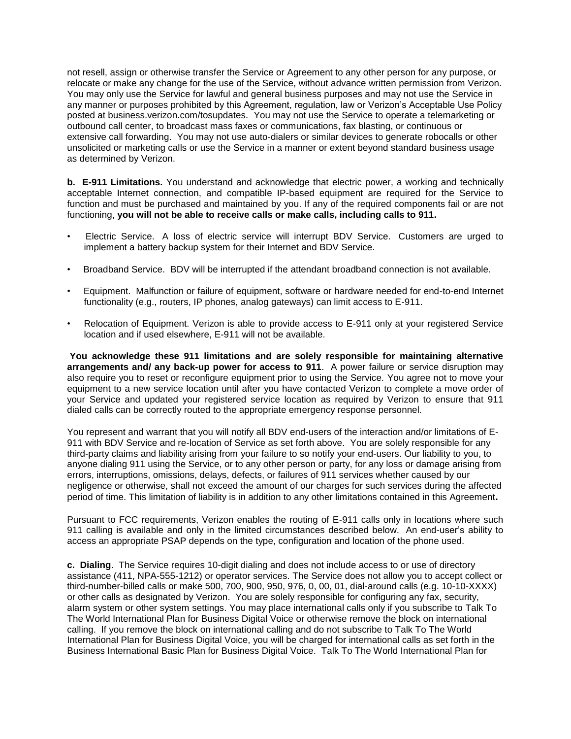not resell, assign or otherwise transfer the Service or Agreement to any other person for any purpose, or relocate or make any change for the use of the Service, without advance written permission from Verizon. You may only use the Service for lawful and general business purposes and may not use the Service in any manner or purposes prohibited by this Agreement, regulation, law or Verizon's Acceptable Use Policy posted at business.verizon.com/tosupdates. You may not use the Service to operate a telemarketing or outbound call center, to broadcast mass faxes or communications, fax blasting, or continuous or extensive call forwarding. You may not use auto-dialers or similar devices to generate robocalls or other unsolicited or marketing calls or use the Service in a manner or extent beyond standard business usage as determined by Verizon.

**b. E-911 Limitations.** You understand and acknowledge that electric power, a working and technically acceptable Internet connection, and compatible IP-based equipment are required for the Service to function and must be purchased and maintained by you. If any of the required components fail or are not functioning, **you will not be able to receive calls or make calls, including calls to 911.**

- Electric Service. A loss of electric service will interrupt BDV Service. Customers are urged to implement a battery backup system for their Internet and BDV Service.
- Broadband Service. BDV will be interrupted if the attendant broadband connection is not available.
- Equipment. Malfunction or failure of equipment, software or hardware needed for end-to-end Internet functionality (e.g., routers, IP phones, analog gateways) can limit access to E-911.
- Relocation of Equipment. Verizon is able to provide access to E-911 only at your registered Service location and if used elsewhere, E-911 will not be available.

**You acknowledge these 911 limitations and are solely responsible for maintaining alternative arrangements and/ any back-up power for access to 911**. A power failure or service disruption may also require you to reset or reconfigure equipment prior to using the Service. You agree not to move your equipment to a new service location until after you have contacted Verizon to complete a move order of your Service and updated your registered service location as required by Verizon to ensure that 911 dialed calls can be correctly routed to the appropriate emergency response personnel.

You represent and warrant that you will notify all BDV end-users of the interaction and/or limitations of E-911 with BDV Service and re-location of Service as set forth above. You are solely responsible for any third-party claims and liability arising from your failure to so notify your end-users. Our liability to you, to anyone dialing 911 using the Service, or to any other person or party, for any loss or damage arising from errors, interruptions, omissions, delays, defects, or failures of 911 services whether caused by our negligence or otherwise, shall not exceed the amount of our charges for such services during the affected period of time. This limitation of liability is in addition to any other limitations contained in this Agreement**.** 

Pursuant to FCC requirements, Verizon enables the routing of E-911 calls only in locations where such 911 calling is available and only in the limited circumstances described below. An end-user's ability to access an appropriate PSAP depends on the type, configuration and location of the phone used.

**c. Dialing**. The Service requires 10-digit dialing and does not include access to or use of directory assistance (411, NPA-555-1212) or operator services. The Service does not allow you to accept collect or third-number-billed calls or make 500, 700, 900, 950, 976, 0, 00, 01, dial-around calls (e.g. 10-10-XXXX) or other calls as designated by Verizon. You are solely responsible for configuring any fax, security, alarm system or other system settings. You may place international calls only if you subscribe to Talk To The World International Plan for Business Digital Voice or otherwise remove the block on international calling. If you remove the block on international calling and do not subscribe to Talk To The World International Plan for Business Digital Voice, you will be charged for international calls as set forth in the Business International Basic Plan for Business Digital Voice. Talk To The World International Plan for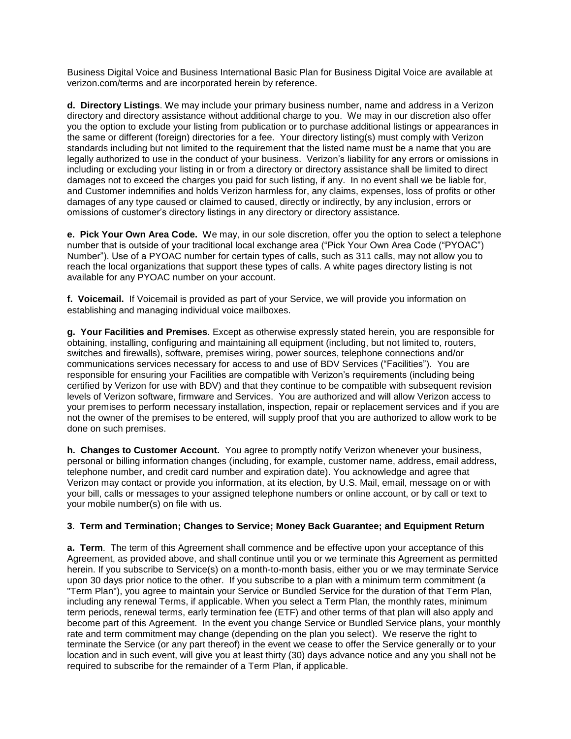Business Digital Voice and Business International Basic Plan for Business Digital Voice are available at verizon.com/terms and are incorporated herein by reference.

**d. Directory Listings**. We may include your primary business number, name and address in a Verizon directory and directory assistance without additional charge to you. We may in our discretion also offer you the option to exclude your listing from publication or to purchase additional listings or appearances in the same or different (foreign) directories for a fee. Your directory listing(s) must comply with Verizon standards including but not limited to the requirement that the listed name must be a name that you are legally authorized to use in the conduct of your business. Verizon's liability for any errors or omissions in including or excluding your listing in or from a directory or directory assistance shall be limited to direct damages not to exceed the charges you paid for such listing, if any. In no event shall we be liable for, and Customer indemnifies and holds Verizon harmless for, any claims, expenses, loss of profits or other damages of any type caused or claimed to caused, directly or indirectly, by any inclusion, errors or omissions of customer's directory listings in any directory or directory assistance.

**e. Pick Your Own Area Code.** We may, in our sole discretion, offer you the option to select a telephone number that is outside of your traditional local exchange area ("Pick Your Own Area Code ("PYOAC") Number"). Use of a PYOAC number for certain types of calls, such as 311 calls, may not allow you to reach the local organizations that support these types of calls. A white pages directory listing is not available for any PYOAC number on your account.

**f. Voicemail.** If Voicemail is provided as part of your Service, we will provide you information on establishing and managing individual voice mailboxes.

**g. Your Facilities and Premises**. Except as otherwise expressly stated herein, you are responsible for obtaining, installing, configuring and maintaining all equipment (including, but not limited to, routers, switches and firewalls), software, premises wiring, power sources, telephone connections and/or communications services necessary for access to and use of BDV Services ("Facilities"). You are responsible for ensuring your Facilities are compatible with Verizon's requirements (including being certified by Verizon for use with BDV) and that they continue to be compatible with subsequent revision levels of Verizon software, firmware and Services. You are authorized and will allow Verizon access to your premises to perform necessary installation, inspection, repair or replacement services and if you are not the owner of the premises to be entered, will supply proof that you are authorized to allow work to be done on such premises.

**h. Changes to Customer Account.** You agree to promptly notify Verizon whenever your business, personal or billing information changes (including, for example, customer name, address, email address, telephone number, and credit card number and expiration date). You acknowledge and agree that Verizon may contact or provide you information, at its election, by U.S. Mail, email, message on or with your bill, calls or messages to your assigned telephone numbers or online account, or by call or text to your mobile number(s) on file with us.

## **3**. **Term and Termination; Changes to Service; Money Back Guarantee; and Equipment Return**

**a. Term**. The term of this Agreement shall commence and be effective upon your acceptance of this Agreement, as provided above, and shall continue until you or we terminate this Agreement as permitted herein. If you subscribe to Service(s) on a month-to-month basis, either you or we may terminate Service upon 30 days prior notice to the other. If you subscribe to a plan with a minimum term commitment (a "Term Plan"), you agree to maintain your Service or Bundled Service for the duration of that Term Plan, including any renewal Terms, if applicable. When you select a Term Plan, the monthly rates, minimum term periods, renewal terms, early termination fee (ETF) and other terms of that plan will also apply and become part of this Agreement. In the event you change Service or Bundled Service plans, your monthly rate and term commitment may change (depending on the plan you select). We reserve the right to terminate the Service (or any part thereof) in the event we cease to offer the Service generally or to your location and in such event, will give you at least thirty (30) days advance notice and any you shall not be required to subscribe for the remainder of a Term Plan, if applicable.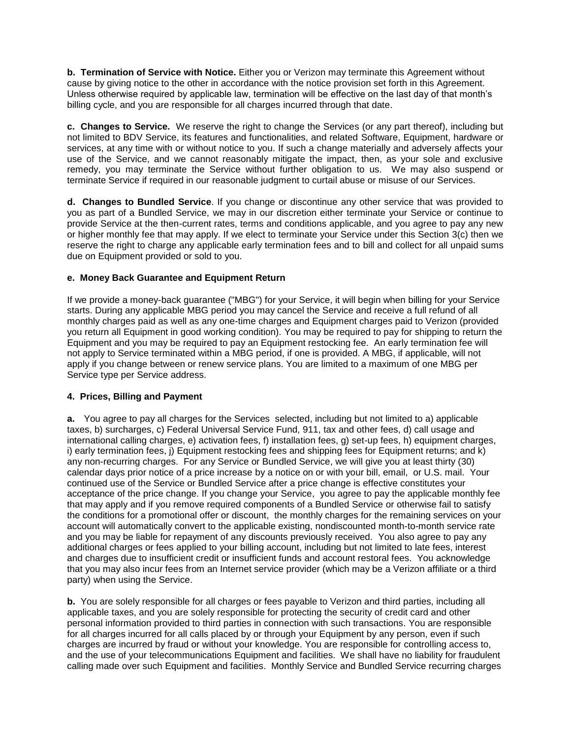**b. Termination of Service with Notice.** Either you or Verizon may terminate this Agreement without cause by giving notice to the other in accordance with the notice provision set forth in this Agreement. Unless otherwise required by applicable law, termination will be effective on the last day of that month's billing cycle, and you are responsible for all charges incurred through that date.

**c. Changes to Service.** We reserve the right to change the Services (or any part thereof), including but not limited to BDV Service, its features and functionalities, and related Software, Equipment, hardware or services, at any time with or without notice to you. If such a change materially and adversely affects your use of the Service, and we cannot reasonably mitigate the impact, then, as your sole and exclusive remedy, you may terminate the Service without further obligation to us. We may also suspend or terminate Service if required in our reasonable judgment to curtail abuse or misuse of our Services.

**d. Changes to Bundled Service**. If you change or discontinue any other service that was provided to you as part of a Bundled Service, we may in our discretion either terminate your Service or continue to provide Service at the then-current rates, terms and conditions applicable, and you agree to pay any new or higher monthly fee that may apply. If we elect to terminate your Service under this Section 3(c) then we reserve the right to charge any applicable early termination fees and to bill and collect for all unpaid sums due on Equipment provided or sold to you.

## **e. Money Back Guarantee and Equipment Return**

If we provide a money-back guarantee ("MBG") for your Service, it will begin when billing for your Service starts. During any applicable MBG period you may cancel the Service and receive a full refund of all monthly charges paid as well as any one-time charges and Equipment charges paid to Verizon (provided you return all Equipment in good working condition). You may be required to pay for shipping to return the Equipment and you may be required to pay an Equipment restocking fee. An early termination fee will not apply to Service terminated within a MBG period, if one is provided. A MBG, if applicable, will not apply if you change between or renew service plans. You are limited to a maximum of one MBG per Service type per Service address.

# **4. Prices, Billing and Payment**

**a.** You agree to pay all charges for the Services selected, including but not limited to a) applicable taxes, b) surcharges, c) Federal Universal Service Fund, 911, tax and other fees, d) call usage and international calling charges, e) activation fees, f) installation fees, g) set-up fees, h) equipment charges, i) early termination fees, j) Equipment restocking fees and shipping fees for Equipment returns; and k) any non-recurring charges. For any Service or Bundled Service, we will give you at least thirty (30) calendar days prior notice of a price increase by a notice on or with your bill, email, or U.S. mail. Your continued use of the Service or Bundled Service after a price change is effective constitutes your acceptance of the price change. If you change your Service, you agree to pay the applicable monthly fee that may apply and if you remove required components of a Bundled Service or otherwise fail to satisfy the conditions for a promotional offer or discount, the monthly charges for the remaining services on your account will automatically convert to the applicable existing, nondiscounted month-to-month service rate and you may be liable for repayment of any discounts previously received. You also agree to pay any additional charges or fees applied to your billing account, including but not limited to late fees, interest and charges due to insufficient credit or insufficient funds and account restoral fees. You acknowledge that you may also incur fees from an Internet service provider (which may be a Verizon affiliate or a third party) when using the Service.

**b.** You are solely responsible for all charges or fees payable to Verizon and third parties, including all applicable taxes, and you are solely responsible for protecting the security of credit card and other personal information provided to third parties in connection with such transactions. You are responsible for all charges incurred for all calls placed by or through your Equipment by any person, even if such charges are incurred by fraud or without your knowledge. You are responsible for controlling access to, and the use of your telecommunications Equipment and facilities. We shall have no liability for fraudulent calling made over such Equipment and facilities. Monthly Service and Bundled Service recurring charges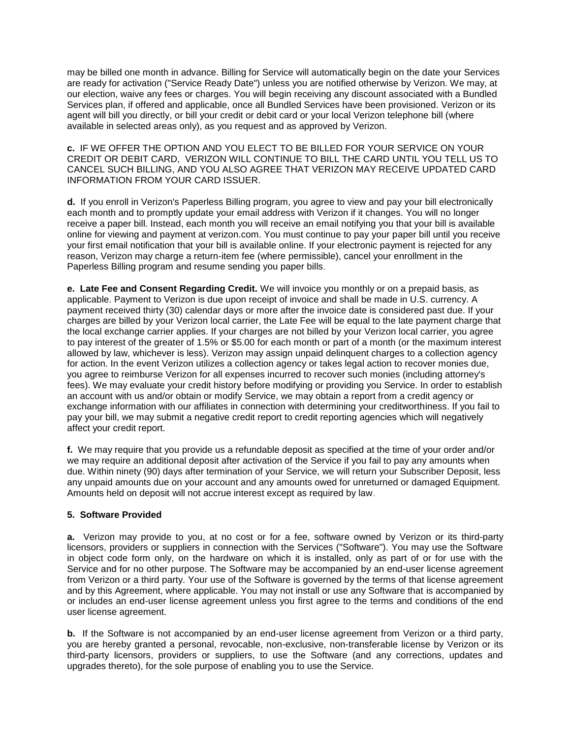may be billed one month in advance. Billing for Service will automatically begin on the date your Services are ready for activation ("Service Ready Date") unless you are notified otherwise by Verizon. We may, at our election, waive any fees or charges. You will begin receiving any discount associated with a Bundled Services plan, if offered and applicable, once all Bundled Services have been provisioned. Verizon or its agent will bill you directly, or bill your credit or debit card or your local Verizon telephone bill (where available in selected areas only), as you request and as approved by Verizon.

**c.** IF WE OFFER THE OPTION AND YOU ELECT TO BE BILLED FOR YOUR SERVICE ON YOUR CREDIT OR DEBIT CARD, VERIZON WILL CONTINUE TO BILL THE CARD UNTIL YOU TELL US TO CANCEL SUCH BILLING, AND YOU ALSO AGREE THAT VERIZON MAY RECEIVE UPDATED CARD INFORMATION FROM YOUR CARD ISSUER.

**d.** If you enroll in Verizon's Paperless Billing program, you agree to view and pay your bill electronically each month and to promptly update your email address with Verizon if it changes. You will no longer receive a paper bill. Instead, each month you will receive an email notifying you that your bill is available online for viewing and payment at verizon.com. You must continue to pay your paper bill until you receive your first email notification that your bill is available online. If your electronic payment is rejected for any reason, Verizon may charge a return-item fee (where permissible), cancel your enrollment in the Paperless Billing program and resume sending you paper bills.

**e. Late Fee and Consent Regarding Credit.** We will invoice you monthly or on a prepaid basis, as applicable. Payment to Verizon is due upon receipt of invoice and shall be made in U.S. currency. A payment received thirty (30) calendar days or more after the invoice date is considered past due. If your charges are billed by your Verizon local carrier, the Late Fee will be equal to the late payment charge that the local exchange carrier applies. If your charges are not billed by your Verizon local carrier, you agree to pay interest of the greater of 1.5% or \$5.00 for each month or part of a month (or the maximum interest allowed by law, whichever is less). Verizon may assign unpaid delinquent charges to a collection agency for action. In the event Verizon utilizes a collection agency or takes legal action to recover monies due, you agree to reimburse Verizon for all expenses incurred to recover such monies (including attorney's fees). We may evaluate your credit history before modifying or providing you Service. In order to establish an account with us and/or obtain or modify Service, we may obtain a report from a credit agency or exchange information with our affiliates in connection with determining your creditworthiness. If you fail to pay your bill, we may submit a negative credit report to credit reporting agencies which will negatively affect your credit report.

**f.** We may require that you provide us a refundable deposit as specified at the time of your order and/or we may require an additional deposit after activation of the Service if you fail to pay any amounts when due. Within ninety (90) days after termination of your Service, we will return your Subscriber Deposit, less any unpaid amounts due on your account and any amounts owed for unreturned or damaged Equipment. Amounts held on deposit will not accrue interest except as required by law.

# **5. Software Provided**

**a.** Verizon may provide to you, at no cost or for a fee, software owned by Verizon or its third-party licensors, providers or suppliers in connection with the Services ("Software"). You may use the Software in object code form only, on the hardware on which it is installed, only as part of or for use with the Service and for no other purpose. The Software may be accompanied by an end-user license agreement from Verizon or a third party. Your use of the Software is governed by the terms of that license agreement and by this Agreement, where applicable. You may not install or use any Software that is accompanied by or includes an end-user license agreement unless you first agree to the terms and conditions of the end user license agreement.

**b.** If the Software is not accompanied by an end-user license agreement from Verizon or a third party, you are hereby granted a personal, revocable, non-exclusive, non-transferable license by Verizon or its third-party licensors, providers or suppliers, to use the Software (and any corrections, updates and upgrades thereto), for the sole purpose of enabling you to use the Service.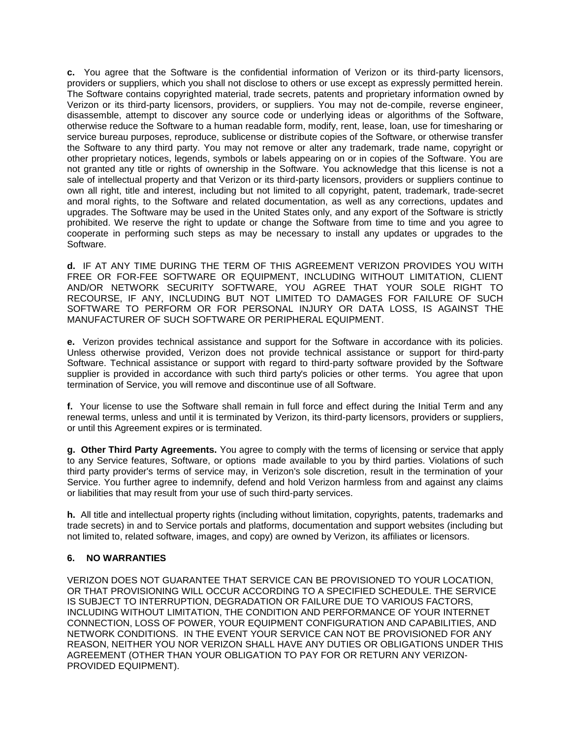**c.** You agree that the Software is the confidential information of Verizon or its third-party licensors, providers or suppliers, which you shall not disclose to others or use except as expressly permitted herein. The Software contains copyrighted material, trade secrets, patents and proprietary information owned by Verizon or its third-party licensors, providers, or suppliers. You may not de-compile, reverse engineer, disassemble, attempt to discover any source code or underlying ideas or algorithms of the Software, otherwise reduce the Software to a human readable form, modify, rent, lease, loan, use for timesharing or service bureau purposes, reproduce, sublicense or distribute copies of the Software, or otherwise transfer the Software to any third party. You may not remove or alter any trademark, trade name, copyright or other proprietary notices, legends, symbols or labels appearing on or in copies of the Software. You are not granted any title or rights of ownership in the Software. You acknowledge that this license is not a sale of intellectual property and that Verizon or its third-party licensors, providers or suppliers continue to own all right, title and interest, including but not limited to all copyright, patent, trademark, trade-secret and moral rights, to the Software and related documentation, as well as any corrections, updates and upgrades. The Software may be used in the United States only, and any export of the Software is strictly prohibited. We reserve the right to update or change the Software from time to time and you agree to cooperate in performing such steps as may be necessary to install any updates or upgrades to the Software.

**d.** IF AT ANY TIME DURING THE TERM OF THIS AGREEMENT VERIZON PROVIDES YOU WITH FREE OR FOR-FEE SOFTWARE OR EQUIPMENT, INCLUDING WITHOUT LIMITATION, CLIENT AND/OR NETWORK SECURITY SOFTWARE, YOU AGREE THAT YOUR SOLE RIGHT TO RECOURSE, IF ANY, INCLUDING BUT NOT LIMITED TO DAMAGES FOR FAILURE OF SUCH SOFTWARE TO PERFORM OR FOR PERSONAL INJURY OR DATA LOSS, IS AGAINST THE MANUFACTURER OF SUCH SOFTWARE OR PERIPHERAL EQUIPMENT.

**e.** Verizon provides technical assistance and support for the Software in accordance with its policies. Unless otherwise provided, Verizon does not provide technical assistance or support for third-party Software. Technical assistance or support with regard to third-party software provided by the Software supplier is provided in accordance with such third party's policies or other terms. You agree that upon termination of Service, you will remove and discontinue use of all Software.

**f.** Your license to use the Software shall remain in full force and effect during the Initial Term and any renewal terms, unless and until it is terminated by Verizon, its third-party licensors, providers or suppliers, or until this Agreement expires or is terminated.

**g. Other Third Party Agreements.** You agree to comply with the terms of licensing or service that apply to any Service features, Software, or options made available to you by third parties. Violations of such third party provider's terms of service may, in Verizon's sole discretion, result in the termination of your Service. You further agree to indemnify, defend and hold Verizon harmless from and against any claims or liabilities that may result from your use of such third-party services.

**h.** All title and intellectual property rights (including without limitation, copyrights, patents, trademarks and trade secrets) in and to Service portals and platforms, documentation and support websites (including but not limited to, related software, images, and copy) are owned by Verizon, its affiliates or licensors.

# **6. NO WARRANTIES**

VERIZON DOES NOT GUARANTEE THAT SERVICE CAN BE PROVISIONED TO YOUR LOCATION, OR THAT PROVISIONING WILL OCCUR ACCORDING TO A SPECIFIED SCHEDULE. THE SERVICE IS SUBJECT TO INTERRUPTION, DEGRADATION OR FAILURE DUE TO VARIOUS FACTORS, INCLUDING WITHOUT LIMITATION, THE CONDITION AND PERFORMANCE OF YOUR INTERNET CONNECTION, LOSS OF POWER, YOUR EQUIPMENT CONFIGURATION AND CAPABILITIES, AND NETWORK CONDITIONS. IN THE EVENT YOUR SERVICE CAN NOT BE PROVISIONED FOR ANY REASON, NEITHER YOU NOR VERIZON SHALL HAVE ANY DUTIES OR OBLIGATIONS UNDER THIS AGREEMENT (OTHER THAN YOUR OBLIGATION TO PAY FOR OR RETURN ANY VERIZON-PROVIDED EQUIPMENT).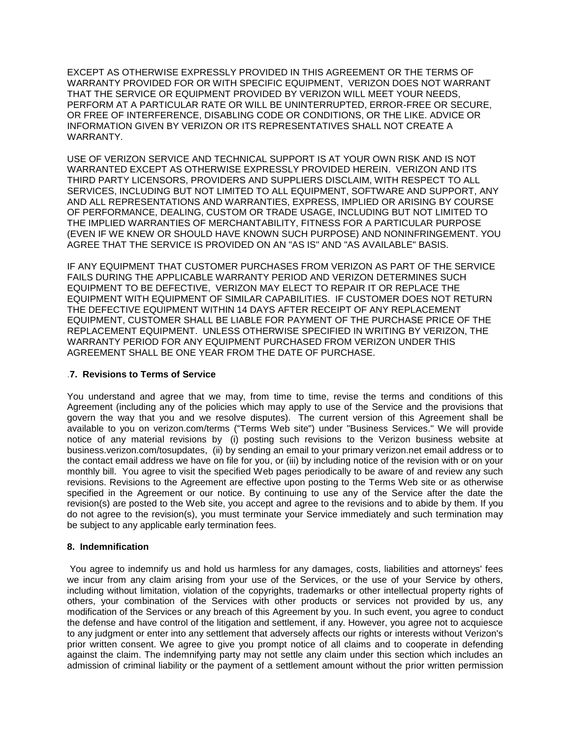EXCEPT AS OTHERWISE EXPRESSLY PROVIDED IN THIS AGREEMENT OR THE TERMS OF WARRANTY PROVIDED FOR OR WITH SPECIFIC EQUIPMENT, VERIZON DOES NOT WARRANT THAT THE SERVICE OR EQUIPMENT PROVIDED BY VERIZON WILL MEET YOUR NEEDS, PERFORM AT A PARTICULAR RATE OR WILL BE UNINTERRUPTED, ERROR-FREE OR SECURE, OR FREE OF INTERFERENCE, DISABLING CODE OR CONDITIONS, OR THE LIKE. ADVICE OR INFORMATION GIVEN BY VERIZON OR ITS REPRESENTATIVES SHALL NOT CREATE A WARRANTY.

USE OF VERIZON SERVICE AND TECHNICAL SUPPORT IS AT YOUR OWN RISK AND IS NOT WARRANTED EXCEPT AS OTHERWISE EXPRESSLY PROVIDED HEREIN. VERIZON AND ITS THIRD PARTY LICENSORS, PROVIDERS AND SUPPLIERS DISCLAIM, WITH RESPECT TO ALL SERVICES, INCLUDING BUT NOT LIMITED TO ALL EQUIPMENT, SOFTWARE AND SUPPORT, ANY AND ALL REPRESENTATIONS AND WARRANTIES, EXPRESS, IMPLIED OR ARISING BY COURSE OF PERFORMANCE, DEALING, CUSTOM OR TRADE USAGE, INCLUDING BUT NOT LIMITED TO THE IMPLIED WARRANTIES OF MERCHANTABILITY, FITNESS FOR A PARTICULAR PURPOSE (EVEN IF WE KNEW OR SHOULD HAVE KNOWN SUCH PURPOSE) AND NONINFRINGEMENT. YOU AGREE THAT THE SERVICE IS PROVIDED ON AN "AS IS" AND "AS AVAILABLE" BASIS.

IF ANY EQUIPMENT THAT CUSTOMER PURCHASES FROM VERIZON AS PART OF THE SERVICE FAILS DURING THE APPLICABLE WARRANTY PERIOD AND VERIZON DETERMINES SUCH EQUIPMENT TO BE DEFECTIVE, VERIZON MAY ELECT TO REPAIR IT OR REPLACE THE EQUIPMENT WITH EQUIPMENT OF SIMILAR CAPABILITIES. IF CUSTOMER DOES NOT RETURN THE DEFECTIVE EQUIPMENT WITHIN 14 DAYS AFTER RECEIPT OF ANY REPLACEMENT EQUIPMENT, CUSTOMER SHALL BE LIABLE FOR PAYMENT OF THE PURCHASE PRICE OF THE REPLACEMENT EQUIPMENT. UNLESS OTHERWISE SPECIFIED IN WRITING BY VERIZON, THE WARRANTY PERIOD FOR ANY EQUIPMENT PURCHASED FROM VERIZON UNDER THIS AGREEMENT SHALL BE ONE YEAR FROM THE DATE OF PURCHASE.

## .**7. Revisions to Terms of Service**

You understand and agree that we may, from time to time, revise the terms and conditions of this Agreement (including any of the policies which may apply to use of the Service and the provisions that govern the way that you and we resolve disputes). The current version of this Agreement shall be available to you on [verizon.com/terms](http://www.verizon.com/about/terms/) ("Terms Web site") under "Business Services." We will provide notice of any material revisions by (i) posting such revisions to the Verizon business website at [business.verizon.com/tosupdates,](http://business.verizon.com/tosupdates) (ii) by sending an email to your primary verizon.net email address or to the contact email address we have on file for you, or (iii) by including notice of the revision with or on your monthly bill. You agree to visit the specified Web pages periodically to be aware of and review any such revisions. Revisions to the Agreement are effective upon posting to the Terms Web site or as otherwise specified in the Agreement or our notice. By continuing to use any of the Service after the date the revision(s) are posted to the Web site, you accept and agree to the revisions and to abide by them. If you do not agree to the revision(s), you must terminate your Service immediately and such termination may be subject to any applicable early termination fees.

## **8. Indemnification**

You agree to indemnify us and hold us harmless for any damages, costs, liabilities and attorneys' fees we incur from any claim arising from your use of the Services, or the use of your Service by others, including without limitation, violation of the copyrights, trademarks or other intellectual property rights of others, your combination of the Services with other products or services not provided by us, any modification of the Services or any breach of this Agreement by you. In such event, you agree to conduct the defense and have control of the litigation and settlement, if any. However, you agree not to acquiesce to any judgment or enter into any settlement that adversely affects our rights or interests without Verizon's prior written consent. We agree to give you prompt notice of all claims and to cooperate in defending against the claim. The indemnifying party may not settle any claim under this section which includes an admission of criminal liability or the payment of a settlement amount without the prior written permission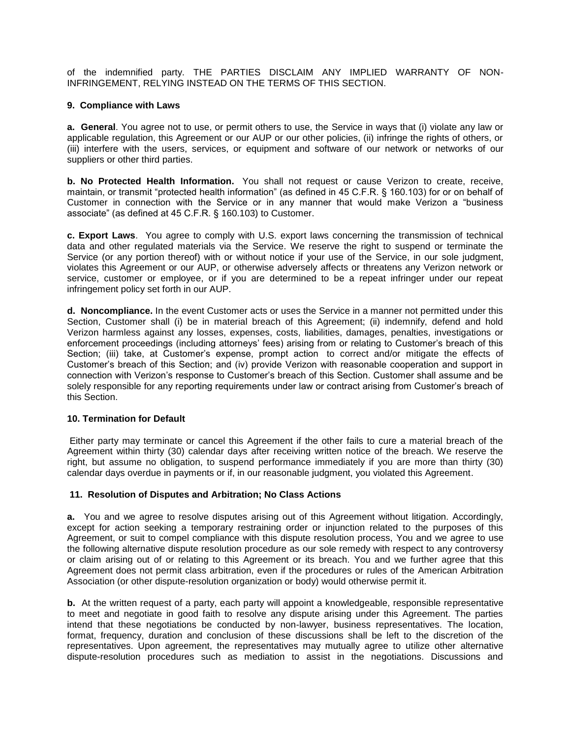of the indemnified party. THE PARTIES DISCLAIM ANY IMPLIED WARRANTY OF NON-INFRINGEMENT, RELYING INSTEAD ON THE TERMS OF THIS SECTION.

## **9. Compliance with Laws**

**a. General**. You agree not to use, or permit others to use, the Service in ways that (i) violate any law or applicable regulation, this Agreement or our AUP or our other policies, (ii) infringe the rights of others, or (iii) interfere with the users, services, or equipment and software of our network or networks of our suppliers or other third parties.

**b. No Protected Health Information.** You shall not request or cause Verizon to create, receive, maintain, or transmit "protected health information" (as defined in 45 C.F.R. § 160.103) for or on behalf of Customer in connection with the Service or in any manner that would make Verizon a "business associate" (as defined at 45 C.F.R. § 160.103) to Customer.

**c. Export Laws**. You agree to comply with U.S. export laws concerning the transmission of technical data and other regulated materials via the Service. We reserve the right to suspend or terminate the Service (or any portion thereof) with or without notice if your use of the Service, in our sole judgment, violates this Agreement or our AUP, or otherwise adversely affects or threatens any Verizon network or service, customer or employee, or if you are determined to be a repeat infringer under our repeat infringement policy set forth in our AUP.

**d. Noncompliance.** In the event Customer acts or uses the Service in a manner not permitted under this Section, Customer shall (i) be in material breach of this Agreement; (ii) indemnify, defend and hold Verizon harmless against any losses, expenses, costs, liabilities, damages, penalties, investigations or enforcement proceedings (including attorneys' fees) arising from or relating to Customer's breach of this Section; (iii) take, at Customer's expense, prompt action to correct and/or mitigate the effects of Customer's breach of this Section; and (iv) provide Verizon with reasonable cooperation and support in connection with Verizon's response to Customer's breach of this Section. Customer shall assume and be solely responsible for any reporting requirements under law or contract arising from Customer's breach of this Section.

## **10. Termination for Default**

Either party may terminate or cancel this Agreement if the other fails to cure a material breach of the Agreement within thirty (30) calendar days after receiving written notice of the breach. We reserve the right, but assume no obligation, to suspend performance immediately if you are more than thirty (30) calendar days overdue in payments or if, in our reasonable judgment, you violated this Agreement.

## **11. Resolution of Disputes and Arbitration; No Class Actions**

**a.** You and we agree to resolve disputes arising out of this Agreement without litigation. Accordingly, except for action seeking a temporary restraining order or injunction related to the purposes of this Agreement, or suit to compel compliance with this dispute resolution process, You and we agree to use the following alternative dispute resolution procedure as our sole remedy with respect to any controversy or claim arising out of or relating to this Agreement or its breach. You and we further agree that this Agreement does not permit class arbitration, even if the procedures or rules of the American Arbitration Association (or other dispute-resolution organization or body) would otherwise permit it.

**b.** At the written request of a party, each party will appoint a knowledgeable, responsible representative to meet and negotiate in good faith to resolve any dispute arising under this Agreement. The parties intend that these negotiations be conducted by non-lawyer, business representatives. The location, format, frequency, duration and conclusion of these discussions shall be left to the discretion of the representatives. Upon agreement, the representatives may mutually agree to utilize other alternative dispute-resolution procedures such as mediation to assist in the negotiations. Discussions and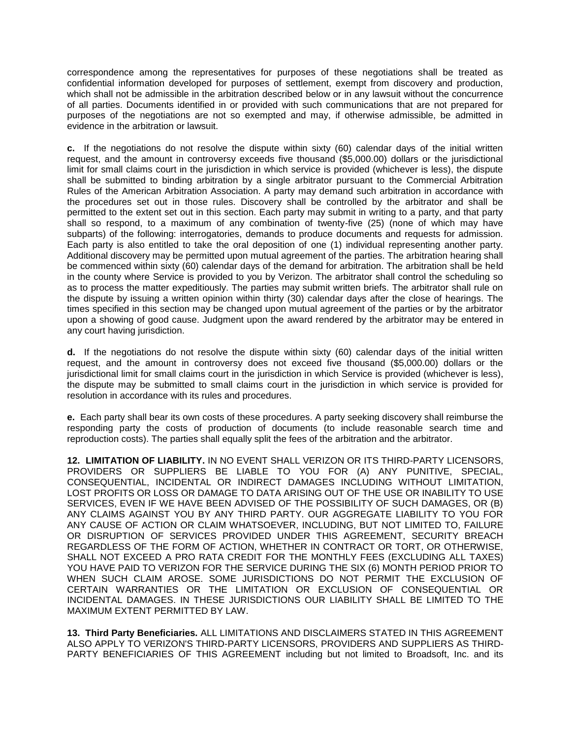correspondence among the representatives for purposes of these negotiations shall be treated as confidential information developed for purposes of settlement, exempt from discovery and production, which shall not be admissible in the arbitration described below or in any lawsuit without the concurrence of all parties. Documents identified in or provided with such communications that are not prepared for purposes of the negotiations are not so exempted and may, if otherwise admissible, be admitted in evidence in the arbitration or lawsuit.

**c.** If the negotiations do not resolve the dispute within sixty (60) calendar days of the initial written request, and the amount in controversy exceeds five thousand (\$5,000.00) dollars or the jurisdictional limit for small claims court in the jurisdiction in which service is provided (whichever is less), the dispute shall be submitted to binding arbitration by a single arbitrator pursuant to the Commercial Arbitration Rules of the American Arbitration Association. A party may demand such arbitration in accordance with the procedures set out in those rules. Discovery shall be controlled by the arbitrator and shall be permitted to the extent set out in this section. Each party may submit in writing to a party, and that party shall so respond, to a maximum of any combination of twenty-five (25) (none of which may have subparts) of the following: interrogatories, demands to produce documents and requests for admission. Each party is also entitled to take the oral deposition of one (1) individual representing another party. Additional discovery may be permitted upon mutual agreement of the parties. The arbitration hearing shall be commenced within sixty (60) calendar days of the demand for arbitration. The arbitration shall be held in the county where Service is provided to you by Verizon. The arbitrator shall control the scheduling so as to process the matter expeditiously. The parties may submit written briefs. The arbitrator shall rule on the dispute by issuing a written opinion within thirty (30) calendar days after the close of hearings. The times specified in this section may be changed upon mutual agreement of the parties or by the arbitrator upon a showing of good cause. Judgment upon the award rendered by the arbitrator may be entered in any court having jurisdiction.

**d.** If the negotiations do not resolve the dispute within sixty (60) calendar days of the initial written request, and the amount in controversy does not exceed five thousand (\$5,000.00) dollars or the jurisdictional limit for small claims court in the jurisdiction in which Service is provided (whichever is less), the dispute may be submitted to small claims court in the jurisdiction in which service is provided for resolution in accordance with its rules and procedures.

**e.** Each party shall bear its own costs of these procedures. A party seeking discovery shall reimburse the responding party the costs of production of documents (to include reasonable search time and reproduction costs). The parties shall equally split the fees of the arbitration and the arbitrator.

**12. LIMITATION OF LIABILITY.** IN NO EVENT SHALL VERIZON OR ITS THIRD-PARTY LICENSORS, PROVIDERS OR SUPPLIERS BE LIABLE TO YOU FOR (A) ANY PUNITIVE, SPECIAL, CONSEQUENTIAL, INCIDENTAL OR INDIRECT DAMAGES INCLUDING WITHOUT LIMITATION, LOST PROFITS OR LOSS OR DAMAGE TO DATA ARISING OUT OF THE USE OR INABILITY TO USE SERVICES, EVEN IF WE HAVE BEEN ADVISED OF THE POSSIBILITY OF SUCH DAMAGES, OR (B) ANY CLAIMS AGAINST YOU BY ANY THIRD PARTY. OUR AGGREGATE LIABILITY TO YOU FOR ANY CAUSE OF ACTION OR CLAIM WHATSOEVER, INCLUDING, BUT NOT LIMITED TO, FAILURE OR DISRUPTION OF SERVICES PROVIDED UNDER THIS AGREEMENT, SECURITY BREACH REGARDLESS OF THE FORM OF ACTION, WHETHER IN CONTRACT OR TORT, OR OTHERWISE, SHALL NOT EXCEED A PRO RATA CREDIT FOR THE MONTHLY FEES (EXCLUDING ALL TAXES) YOU HAVE PAID TO VERIZON FOR THE SERVICE DURING THE SIX (6) MONTH PERIOD PRIOR TO WHEN SUCH CLAIM AROSE. SOME JURISDICTIONS DO NOT PERMIT THE EXCLUSION OF CERTAIN WARRANTIES OR THE LIMITATION OR EXCLUSION OF CONSEQUENTIAL OR INCIDENTAL DAMAGES. IN THESE JURISDICTIONS OUR LIABILITY SHALL BE LIMITED TO THE MAXIMUM EXTENT PERMITTED BY LAW.

**13. Third Party Beneficiaries.** ALL LIMITATIONS AND DISCLAIMERS STATED IN THIS AGREEMENT ALSO APPLY TO VERIZON'S THIRD-PARTY LICENSORS, PROVIDERS AND SUPPLIERS AS THIRD-PARTY BENEFICIARIES OF THIS AGREEMENT including but not limited to Broadsoft, Inc. and its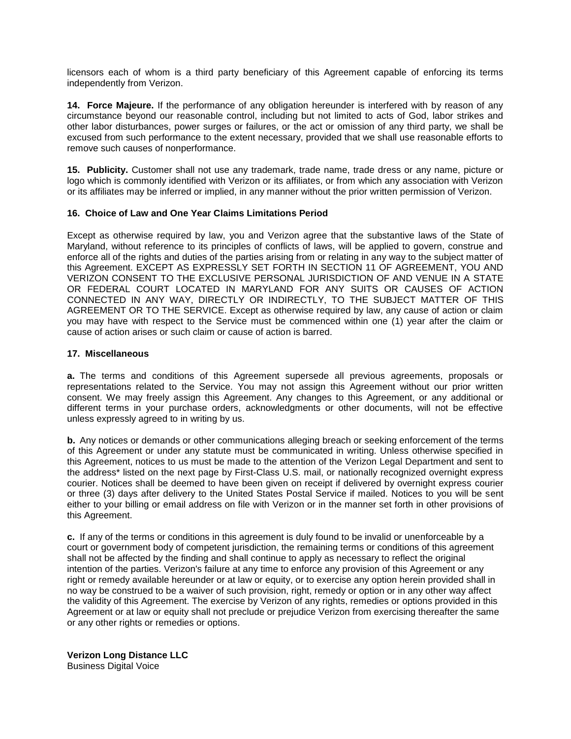licensors each of whom is a third party beneficiary of this Agreement capable of enforcing its terms independently from Verizon.

**14. Force Majeure.** If the performance of any obligation hereunder is interfered with by reason of any circumstance beyond our reasonable control, including but not limited to acts of God, labor strikes and other labor disturbances, power surges or failures, or the act or omission of any third party, we shall be excused from such performance to the extent necessary, provided that we shall use reasonable efforts to remove such causes of nonperformance.

**15. Publicity.** Customer shall not use any trademark, trade name, trade dress or any name, picture or logo which is commonly identified with Verizon or its affiliates, or from which any association with Verizon or its affiliates may be inferred or implied, in any manner without the prior written permission of Verizon.

## **16. Choice of Law and One Year Claims Limitations Period**

Except as otherwise required by law, you and Verizon agree that the substantive laws of the State of Maryland, without reference to its principles of conflicts of laws, will be applied to govern, construe and enforce all of the rights and duties of the parties arising from or relating in any way to the subject matter of this Agreement. EXCEPT AS EXPRESSLY SET FORTH IN SECTION 11 OF AGREEMENT, YOU AND VERIZON CONSENT TO THE EXCLUSIVE PERSONAL JURISDICTION OF AND VENUE IN A STATE OR FEDERAL COURT LOCATED IN MARYLAND FOR ANY SUITS OR CAUSES OF ACTION CONNECTED IN ANY WAY, DIRECTLY OR INDIRECTLY, TO THE SUBJECT MATTER OF THIS AGREEMENT OR TO THE SERVICE. Except as otherwise required by law, any cause of action or claim you may have with respect to the Service must be commenced within one (1) year after the claim or cause of action arises or such claim or cause of action is barred.

## **17. Miscellaneous**

**a.** The terms and conditions of this Agreement supersede all previous agreements, proposals or representations related to the Service. You may not assign this Agreement without our prior written consent. We may freely assign this Agreement. Any changes to this Agreement, or any additional or different terms in your purchase orders, acknowledgments or other documents, will not be effective unless expressly agreed to in writing by us.

**b.** Any notices or demands or other communications alleging breach or seeking enforcement of the terms of this Agreement or under any statute must be communicated in writing. Unless otherwise specified in this Agreement, notices to us must be made to the attention of the Verizon Legal Department and sent to the address\* listed on the next page by First-Class U.S. mail, or nationally recognized overnight express courier. Notices shall be deemed to have been given on receipt if delivered by overnight express courier or three (3) days after delivery to the United States Postal Service if mailed. Notices to you will be sent either to your billing or email address on file with Verizon or in the manner set forth in other provisions of this Agreement.

**c.** If any of the terms or conditions in this agreement is duly found to be invalid or unenforceable by a court or government body of competent jurisdiction, the remaining terms or conditions of this agreement shall not be affected by the finding and shall continue to apply as necessary to reflect the original intention of the parties. Verizon's failure at any time to enforce any provision of this Agreement or any right or remedy available hereunder or at law or equity, or to exercise any option herein provided shall in no way be construed to be a waiver of such provision, right, remedy or option or in any other way affect the validity of this Agreement. The exercise by Verizon of any rights, remedies or options provided in this Agreement or at law or equity shall not preclude or prejudice Verizon from exercising thereafter the same or any other rights or remedies or options.

**Verizon Long Distance LLC** Business Digital Voice